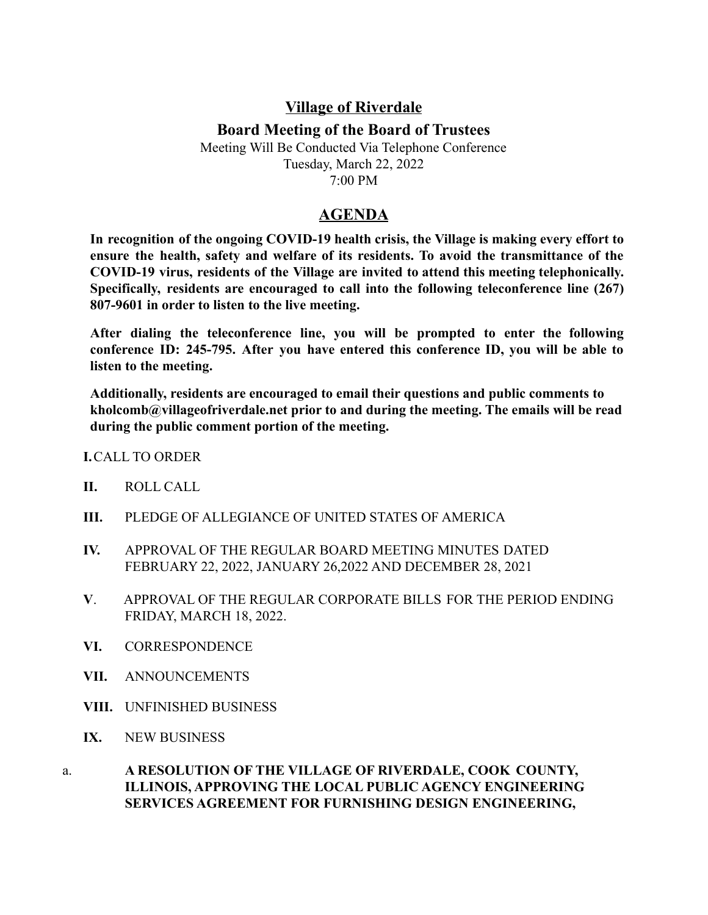## **Village of Riverdale**

## **Board Meeting of the Board of Trustees**

Meeting Will Be Conducted Via Telephone Conference Tuesday, March 22, 2022 7:00 PM

## **AGENDA**

**In recognition of the ongoing COVID-19 health crisis, the Village is making every effort to ensure the health, safety and welfare of its residents. To avoid the transmittance of the COVID-19 virus, residents of the Village are invited to attend this meeting telephonically. Specifically, residents are encouraged to call into the following teleconference line (267) 807-9601 in order to listen to the live meeting.**

**After dialing the teleconference line, you will be prompted to enter the following conference ID: 245-795. After you have entered this conference ID, you will be able to listen to the meeting.**

**Additionally, residents are encouraged to email their questions and public comments to kholcomb@villageofriverdale.net prior to and during the meeting. The emails will be read during the public comment portion of the meeting.**

**I.**CALL TO ORDER

- **II.** ROLL CALL
- **III.** PLEDGE OF ALLEGIANCE OF UNITED STATES OF AMERICA
- **IV.** APPROVAL OF THE REGULAR BOARD MEETING MINUTES DATED FEBRUARY 22, 2022, JANUARY 26,2022 AND DECEMBER 28, 2021
- **V**. APPROVAL OF THE REGULAR CORPORATE BILLS FOR THE PERIOD ENDING FRIDAY, MARCH 18, 2022.
- **VI.** CORRESPONDENCE
- **VII.** ANNOUNCEMENTS
- **VIII.** UNFINISHED BUSINESS
- **IX.** NEW BUSINESS
- a. **A RESOLUTION OF THE VILLAGE OF RIVERDALE, COOK COUNTY, ILLINOIS, APPROVING THE LOCAL PUBLIC AGENCY ENGINEERING SERVICES AGREEMENT FOR FURNISHING DESIGN ENGINEERING,**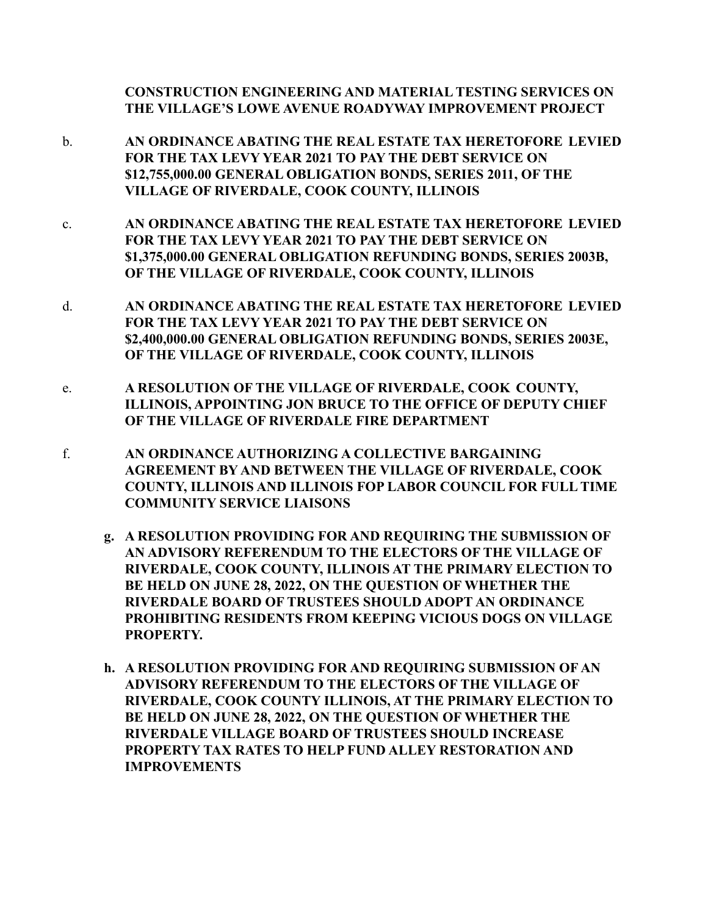**CONSTRUCTION ENGINEERING AND MATERIAL TESTING SERVICES ON THE VILLAGE'S LOWE AVENUE ROADYWAY IMPROVEMENT PROJECT**

- b. **AN ORDINANCE ABATING THE REAL ESTATE TAX HERETOFORE LEVIED FOR THE TAX LEVY YEAR 2021 TO PAY THE DEBT SERVICE ON \$12,755,000.00 GENERAL OBLIGATION BONDS, SERIES 2011, OF THE VILLAGE OF RIVERDALE, COOK COUNTY, ILLINOIS**
- c. **AN ORDINANCE ABATING THE REAL ESTATE TAX HERETOFORE LEVIED FOR THE TAX LEVY YEAR 2021 TO PAY THE DEBT SERVICE ON \$1,375,000.00 GENERAL OBLIGATION REFUNDING BONDS, SERIES 2003B, OF THE VILLAGE OF RIVERDALE, COOK COUNTY, ILLINOIS**
- d. **AN ORDINANCE ABATING THE REAL ESTATE TAX HERETOFORE LEVIED FOR THE TAX LEVY YEAR 2021 TO PAY THE DEBT SERVICE ON \$2,400,000.00 GENERAL OBLIGATION REFUNDING BONDS, SERIES 2003E, OF THE VILLAGE OF RIVERDALE, COOK COUNTY, ILLINOIS**
- e. **A RESOLUTION OF THE VILLAGE OF RIVERDALE, COOK COUNTY, ILLINOIS, APPOINTING JON BRUCE TO THE OFFICE OF DEPUTY CHIEF OF THE VILLAGE OF RIVERDALE FIRE DEPARTMENT**
- f. **AN ORDINANCE AUTHORIZING A COLLECTIVE BARGAINING AGREEMENT BY AND BETWEEN THE VILLAGE OF RIVERDALE, COOK COUNTY, ILLINOIS AND ILLINOIS FOP LABOR COUNCIL FOR FULL TIME COMMUNITY SERVICE LIAISONS**
	- **g. A RESOLUTION PROVIDING FOR AND REQUIRING THE SUBMISSION OF AN ADVISORY REFERENDUM TO THE ELECTORS OF THE VILLAGE OF RIVERDALE, COOK COUNTY, ILLINOIS AT THE PRIMARY ELECTION TO BE HELD ON JUNE 28, 2022, ON THE QUESTION OF WHETHER THE RIVERDALE BOARD OF TRUSTEES SHOULD ADOPT AN ORDINANCE PROHIBITING RESIDENTS FROM KEEPING VICIOUS DOGS ON VILLAGE PROPERTY.**
	- **h. A RESOLUTION PROVIDING FOR AND REQUIRING SUBMISSION OF AN ADVISORY REFERENDUM TO THE ELECTORS OF THE VILLAGE OF RIVERDALE, COOK COUNTY ILLINOIS, AT THE PRIMARY ELECTION TO BE HELD ON JUNE 28, 2022, ON THE QUESTION OF WHETHER THE RIVERDALE VILLAGE BOARD OF TRUSTEES SHOULD INCREASE PROPERTY TAX RATES TO HELP FUND ALLEY RESTORATION AND IMPROVEMENTS**